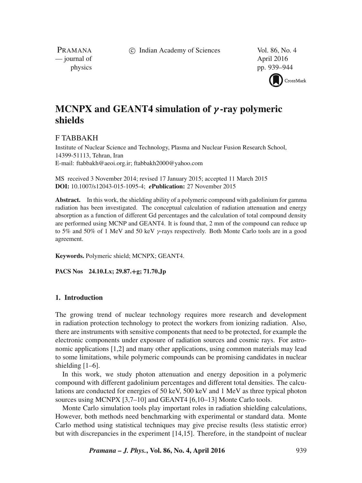c Indian Academy of Sciences Vol. 86, No. 4

PRAMANA — journal of April 2016

physics pp. 939–944



# **MCNPX and GEANT4 simulation of** *γ* **-ray polymeric shields**

# F TABBAKH

Institute of Nuclear Science and Technology, Plasma and Nuclear Fusion Research School, 14399-51113, Tehran, Iran E-mail: ftabbakh@aeoi.org.ir; ftabbakh2000@yahoo.com

MS received 3 November 2014; revised 17 January 2015; accepted 11 March 2015 **DOI:** 10.1007/s12043-015-1095-4; *e***Publication:** 27 November 2015

**Abstract.** In this work, the shielding ability of a polymeric compound with gadolinium for gamma radiation has been investigated. The conceptual calculation of radiation attenuation and energy absorption as a function of different Gd percentages and the calculation of total compound density are performed using MCNP and GEANT4. It is found that, 2 mm of the compound can reduce up to 5% and 50% of 1 MeV and 50 keV  $\gamma$ -rays respectively. Both Monte Carlo tools are in a good agreement.

**Keywords.** Polymeric shield; MCNPX; GEANT4.

**PACS Nos 24.10.Lx; 29.87.+g; 71.70.Jp**

# **1. Introduction**

The growing trend of nuclear technology requires more research and development in radiation protection technology to protect the workers from ionizing radiation. Also, there are instruments with sensitive components that need to be protected, for example the electronic components under exposure of radiation sources and cosmic rays. For astronomic applications [1,2] and many other applications, using common materials may lead to some limitations, while polymeric compounds can be promising candidates in nuclear shielding [1–6].

In this work, we study photon attenuation and energy deposition in a polymeric compound with different gadolinium percentages and different total densities. The calculations are conducted for energies of 50 keV, 500 keV and 1 MeV as three typical photon sources using MCNPX [3,7–10] and GEANT4 [6,10–13] Monte Carlo tools.

Monte Carlo simulation tools play important roles in radiation shielding calculations, However, both methods need benchmarking with experimental or standard data. Monte Carlo method using statistical techniques may give precise results (less statistic error) but with discrepancies in the experiment [14,15]. Therefore, in the standpoint of nuclear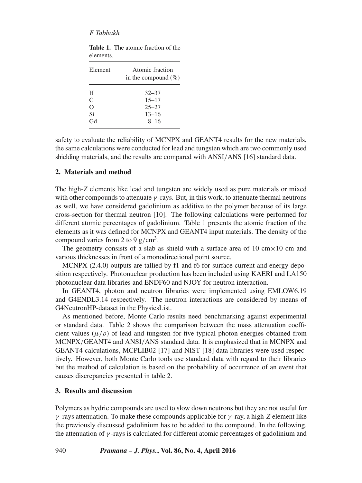# *F Tabbakh*

| Element | Atomic fraction<br>in the compound $(\%)$ |  |  |
|---------|-------------------------------------------|--|--|
| Н       | $32 - 37$                                 |  |  |
| C       | $15 - 17$                                 |  |  |
| O       | $25 - 27$                                 |  |  |
| Si      | $13 - 16$                                 |  |  |
| Gd      | $8 - 16$                                  |  |  |

|           | <b>Table 1.</b> The atomic fraction of the |  |
|-----------|--------------------------------------------|--|
| elements. |                                            |  |

safety to evaluate the reliability of MCNPX and GEANT4 results for the new materials, the same calculations were conducted for lead and tungsten which are two commonly used shielding materials, and the results are compared with ANSI/ANS [16] standard data.

## **2. Materials and method**

The high-*Z* elements like lead and tungsten are widely used as pure materials or mixed with other compounds to attenuate  $\gamma$ -rays. But, in this work, to attenuate thermal neutrons as well, we have considered gadolinium as additive to the polymer because of its large cross-section for thermal neutron [10]. The following calculations were performed for different atomic percentages of gadolinium. Table 1 presents the atomic fraction of the elements as it was defined for MCNPX and GEANT4 input materials. The density of the compound varies from 2 to 9  $g/cm<sup>3</sup>$ .

The geometry consists of a slab as shield with a surface area of 10 cm $\times$ 10 cm and various thicknesses in front of a monodirectional point source.

MCNPX (2.4.0) outputs are tallied by f1 and f6 for surface current and energy deposition respectively. Photonuclear production has been included using KAERI and LA150 photonuclear data libraries and ENDF60 and NJOY for neutron interaction.

In GEANT4, photon and neutron libraries were implemented using EMLOW6.19 and G4ENDL3.14 respectively. The neutron interactions are considered by means of G4NeutronHP-dataset in the PhysicsList.

As mentioned before, Monte Carlo results need benchmarking against experimental or standard data. Table 2 shows the comparison between the mass attenuation coefficient values ( $\mu/\rho$ ) of lead and tungsten for five typical photon energies obtained from MCNPX/GEANT4 and ANSI/ANS standard data. It is emphasized that in MCNPX and GEANT4 calculations, MCPLIB02 [17] and NIST [18] data libraries were used respectively. However, both Monte Carlo tools use standard data with regard to their libraries but the method of calculation is based on the probability of occurrence of an event that causes discrepancies presented in table 2.

### **3. Results and discussion**

Polymers as hydric compounds are used to slow down neutrons but they are not useful for γ -rays attenuation. To make these compounds applicable for γ -ray, a high-*Z* element like the previously discussed gadolinium has to be added to the compound. In the following, the attenuation of  $\gamma$ -rays is calculated for different atomic percentages of gadolinium and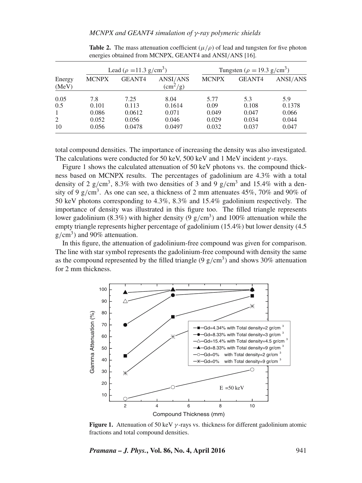|                 | Lead ( $\rho = 11.3 \text{ g/cm}^3$ ) |                 |                                                       | Tungsten ( $\rho = 19.3$ g/cm <sup>3</sup> ) |                |                |
|-----------------|---------------------------------------|-----------------|-------------------------------------------------------|----------------------------------------------|----------------|----------------|
| Energy<br>(MeV) | <b>MCNPX</b>                          | GEANT4          | ANSI/ANS<br>$\rm \left( \text{cm}^2/\text{g} \right)$ | <b>MCNPX</b>                                 | GEANT4         | ANSI/ANS       |
| 0.05            | 7.8                                   | 7.25            | 8.04                                                  | 5.77                                         | 5.3            | 5.9            |
| 0.5             | 0.101                                 | 0.113           | 0.1614                                                | 0.09                                         | 0.108          | 0.1378         |
| -1<br>2         | 0.086<br>0.052                        | 0.0612<br>0.056 | 0.071<br>0.046                                        | 0.049<br>0.029                               | 0.047<br>0.034 | 0.066<br>0.044 |
| 10              | 0.056                                 | 0.0478          | 0.0497                                                | 0.032                                        | 0.037          | 0.047          |

**Table 2.** The mass attenuation coefficient  $(u/\rho)$  of lead and tungsten for five photon energies obtained from MCNPX, GEANT4 and ANSI/ANS [16].

total compound densities. The importance of increasing the density was also investigated. The calculations were conducted for 50 keV, 500 keV and 1 MeV incident  $\gamma$ -rays.

Figure 1 shows the calculated attenuation of 50 keV photons vs. the compound thickness based on MCNPX results. The percentages of gadolinium are 4.3% with a total density of 2 g/cm<sup>3</sup>, 8.3% with two densities of 3 and 9 g/cm<sup>3</sup> and 15.4% with a density of 9 g/cm<sup>3</sup>. As one can see, a thickness of 2 mm attenuates 45%, 70% and 90% of 50 keV photons corresponding to 4.3%, 8.3% and 15.4% gadolinium respectively. The importance of density was illustrated in this figure too. The filled triangle represents lower gadolinium (8.3%) with higher density (9  $g/cm<sup>3</sup>$ ) and 100% attenuation while the empty triangle represents higher percentage of gadolinium (15.4%) but lower density (4.5  $g/cm<sup>3</sup>$ ) and 90% attenuation.

In this figure, the attenuation of gadolinium-free compound was given for comparison. The line with star symbol represents the gadolinium-free compound with density the same as the compound represented by the filled triangle (9  $g/cm<sup>3</sup>$ ) and shows 30% attenuation for 2 mm thickness.



**Figure 1.** Attenuation of 50 keV  $\gamma$ -rays vs. thickness for different gadolinium atomic fractions and total compound densities.

*Pramana – J. Phys.***, Vol. 86, No. 4, April 2016** 941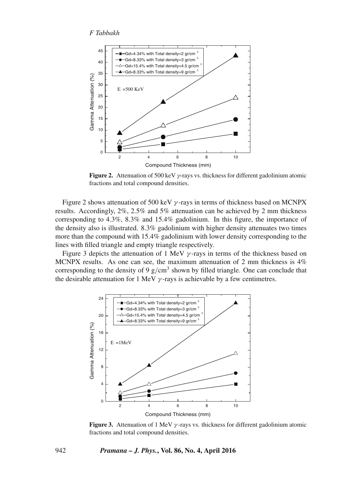

**Figure 2.** Attenuation of 500 keV γ-rays vs. thickness for different gadolinium atomic fractions and total compound densities.

Figure 2 shows attenuation of 500 keV  $\gamma$ -rays in terms of thickness based on MCNPX results. Accordingly, 2%, 2.5% and 5% attenuation can be achieved by 2 mm thickness corresponding to 4.3%, 8.3% and 15.4% gadolinium. In this figure, the importance of the density also is illustrated. 8.3% gadolinium with higher density attenuates two times more than the compound with 15.4% gadolinium with lower density corresponding to the lines with filled triangle and empty triangle respectively.

Figure 3 depicts the attenuation of 1 MeV  $\gamma$ -rays in terms of the thickness based on MCNPX results. As one can see, the maximum attenuation of 2 mm thickness is 4% corresponding to the density of 9  $g/cm<sup>3</sup>$  shown by filled triangle. One can conclude that the desirable attenuation for 1 MeV  $\gamma$ -rays is achievable by a few centimetres.



**Figure 3.** Attenuation of 1 MeV  $\gamma$ -rays vs. thickness for different gadolinium atomic fractions and total compound densities.

#### 942 *Pramana – J. Phys.***, Vol. 86, No. 4, April 2016**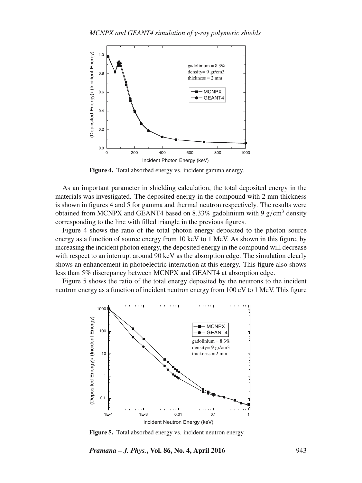

**Figure 4.** Total absorbed energy vs. incident gamma energy.

As an important parameter in shielding calculation, the total deposited energy in the materials was investigated. The deposited energy in the compound with 2 mm thickness is shown in figures 4 and 5 for gamma and thermal neutron respectively. The results were obtained from MCNPX and GEANT4 based on 8.33% gadolinium with 9  $g/cm<sup>3</sup>$  density corresponding to the line with filled triangle in the previous figures.

Figure 4 shows the ratio of the total photon energy deposited to the photon source energy as a function of source energy from 10 keV to 1 MeV. As shown in this figure, by increasing the incident photon energy, the deposited energy in the compound will decrease with respect to an interrupt around 90 keV as the absorption edge. The simulation clearly shows an enhancement in photoelectric interaction at this energy. This figure also shows less than 5% discrepancy between MCNPX and GEANT4 at absorption edge.

Figure 5 shows the ratio of the total energy deposited by the neutrons to the incident neutron energy as a function of incident neutron energy from 100 eV to 1 MeV. This figure



**Figure 5.** Total absorbed energy vs. incident neutron energy.

*Pramana – J. Phys.***, Vol. 86, No. 4, April 2016** 943